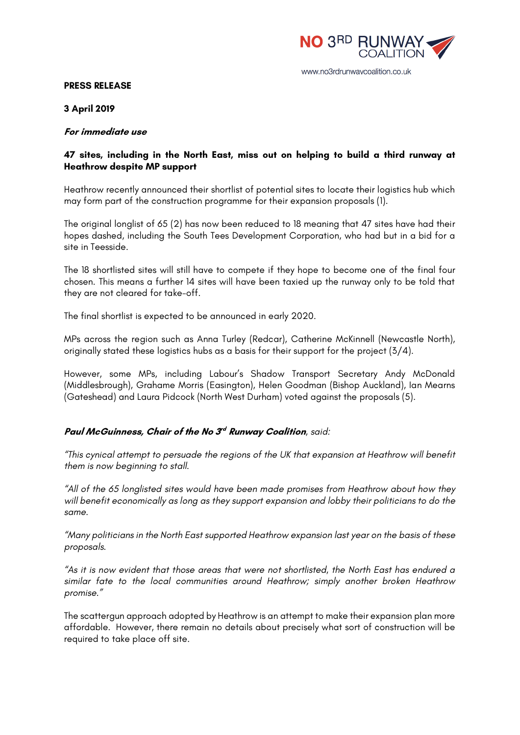

#### **PRESS RELEASE**

**3 April 2019**

#### **For immediate use**

## **47 sites, including in the North East, miss out on helping to build a third runway at Heathrow despite MP support**

Heathrow recently announced their shortlist of potential sites to locate their logistics hub which may form part of the construction programme for their expansion proposals (1).

The original longlist of 65 (2) has now been reduced to 18 meaning that 47 sites have had their hopes dashed, including the South Tees Development Corporation, who had but in a bid for a site in Teesside.

The 18 shortlisted sites will still have to compete if they hope to become one of the final four chosen. This means a further 14 sites will have been taxied up the runway only to be told that they are not cleared for take-off.

The final shortlist is expected to be announced in early 2020.

MPs across the region such as Anna Turley (Redcar), Catherine McKinnell (Newcastle North), originally stated these logistics hubs as a basis for their support for the project (3/4).

However, some MPs, including Labour's Shadow Transport Secretary Andy McDonald (Middlesbrough), Grahame Morris (Easington), Helen Goodman (Bishop Auckland), Ian Mearns (Gateshead) and Laura Pidcock (North West Durham) voted against the proposals (5).

## **Paul McGuinness, Chair of the No 3rd Runway Coalition***, said:*

*"This cynical attempt to persuade the regions of the UK that expansion at Heathrow will benefit them is now beginning to stall.*

*"All of the 65 longlisted sites would have been made promises from Heathrow about how they will benefit economically as long as they support expansion and lobby their politicians to do the same.*

*"Many politicians in the North East supported Heathrow expansion last year on the basis of these proposals.*

*"As it is now evident that those areas that were not shortlisted, the North East has endured a similar fate to the local communities around Heathrow; simply another broken Heathrow promise."*

The scattergun approach adopted by Heathrow is an attempt to make their expansion plan more affordable. However, there remain no details about precisely what sort of construction will be required to take place off site.